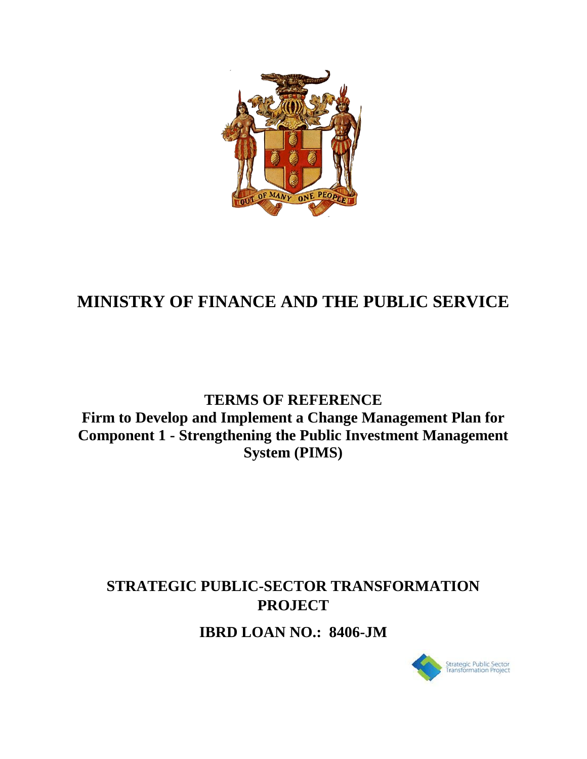

# **MINISTRY OF FINANCE AND THE PUBLIC SERVICE**

# **TERMS OF REFERENCE Firm to Develop and Implement a Change Management Plan for Component 1 - Strengthening the Public Investment Management System (PIMS)**

# **STRATEGIC PUBLIC-SECTOR TRANSFORMATION PROJECT**

**IBRD LOAN NO.: 8406-JM** 

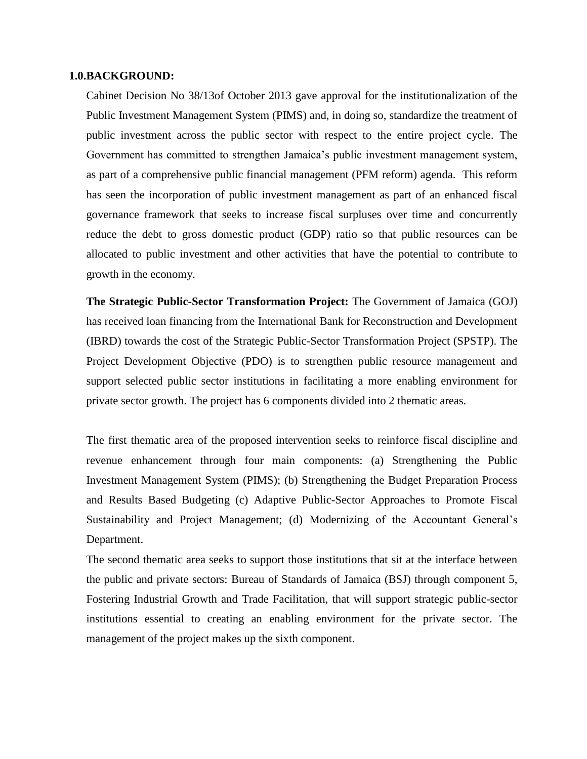#### **1.0.BACKGROUND:**

Cabinet Decision No 38/13of October 2013 gave approval for the institutionalization of the Public Investment Management System (PIMS) and, in doing so, standardize the treatment of public investment across the public sector with respect to the entire project cycle. The Government has committed to strengthen Jamaica's public investment management system, as part of a comprehensive public financial management (PFM reform) agenda. This reform has seen the incorporation of public investment management as part of an enhanced fiscal governance framework that seeks to increase fiscal surpluses over time and concurrently reduce the debt to gross domestic product (GDP) ratio so that public resources can be allocated to public investment and other activities that have the potential to contribute to growth in the economy.

**The Strategic Public-Sector Transformation Project:** The Government of Jamaica (GOJ) has received loan financing from the International Bank for Reconstruction and Development (IBRD) towards the cost of the Strategic Public-Sector Transformation Project (SPSTP). The Project Development Objective (PDO) is to strengthen public resource management and support selected public sector institutions in facilitating a more enabling environment for private sector growth. The project has 6 components divided into 2 thematic areas.

The first thematic area of the proposed intervention seeks to reinforce fiscal discipline and revenue enhancement through four main components: (a) Strengthening the Public Investment Management System (PIMS); (b) Strengthening the Budget Preparation Process and Results Based Budgeting (c) Adaptive Public-Sector Approaches to Promote Fiscal Sustainability and Project Management; (d) Modernizing of the Accountant General's Department.

The second thematic area seeks to support those institutions that sit at the interface between the public and private sectors: Bureau of Standards of Jamaica (BSJ) through component 5, Fostering Industrial Growth and Trade Facilitation, that will support strategic public-sector institutions essential to creating an enabling environment for the private sector. The management of the project makes up the sixth component.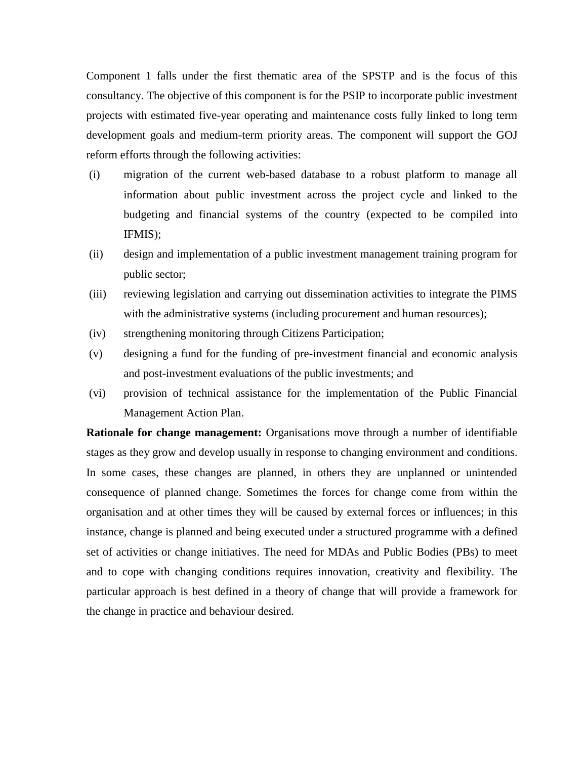Component 1 falls under the first thematic area of the SPSTP and is the focus of this consultancy. The objective of this component is for the PSIP to incorporate public investment projects with estimated five-year operating and maintenance costs fully linked to long term development goals and medium-term priority areas. The component will support the GOJ reform efforts through the following activities:

- (i) migration of the current web-based database to a robust platform to manage all information about public investment across the project cycle and linked to the budgeting and financial systems of the country (expected to be compiled into IFMIS);
- (ii) design and implementation of a public investment management training program for public sector;
- (iii) reviewing legislation and carrying out dissemination activities to integrate the PIMS with the administrative systems (including procurement and human resources);
- (iv) strengthening monitoring through Citizens Participation;
- (v) designing a fund for the funding of pre-investment financial and economic analysis and post-investment evaluations of the public investments; and
- (vi) provision of technical assistance for the implementation of the Public Financial Management Action Plan.

**Rationale for change management:** Organisations move through a number of identifiable stages as they grow and develop usually in response to changing environment and conditions. In some cases, these changes are planned, in others they are unplanned or unintended consequence of planned change. Sometimes the forces for change come from within the organisation and at other times they will be caused by external forces or influences; in this instance, change is planned and being executed under a structured programme with a defined set of activities or change initiatives. The need for MDAs and Public Bodies (PBs) to meet and to cope with changing conditions requires innovation, creativity and flexibility. The particular approach is best defined in a theory of change that will provide a framework for the change in practice and behaviour desired.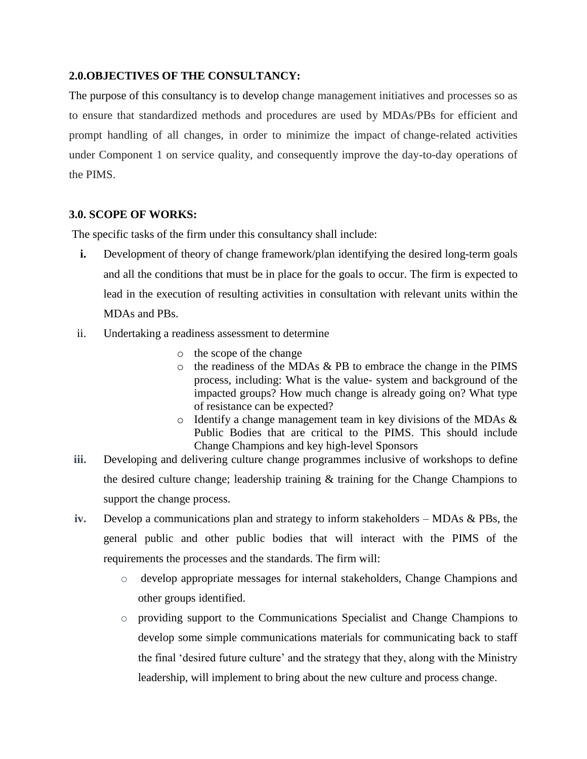#### **2.0.OBJECTIVES OF THE CONSULTANCY:**

The purpose of this consultancy is to develop change management initiatives and processes so as to ensure that standardized methods and procedures are used by MDAs/PBs for efficient and prompt handling of all changes, in order to minimize the impact of change-related activities under Component 1 on service quality, and consequently improve the day-to-day operations of the PIMS.

#### **3.0. SCOPE OF WORKS:**

The specific tasks of the firm under this consultancy shall include:

- **i.** Development of theory of change framework/plan identifying the desired long-term goals and all the conditions that must be in place for the goals to occur. The firm is expected to lead in the execution of resulting activities in consultation with relevant units within the MDAs and PBs.
- ii. Undertaking a readiness assessment to determine
	- o the scope of the change
	- o the readiness of the MDAs & PB to embrace the change in the PIMS process, including: What is the value- system and background of the impacted groups? How much change is already going on? What type of resistance can be expected?
	- o Identify a change management team in key divisions of the MDAs & Public Bodies that are critical to the PIMS. This should include Change Champions and key high-level Sponsors
- **iii.** Developing and delivering culture change programmes inclusive of workshops to define the desired culture change; leadership training & training for the Change Champions to support the change process.
- **iv.** Develop a communications plan and strategy to inform stakeholders MDAs & PBs, the general public and other public bodies that will interact with the PIMS of the requirements the processes and the standards. The firm will:
	- o develop appropriate messages for internal stakeholders, Change Champions and other groups identified.
	- o providing support to the Communications Specialist and Change Champions to develop some simple communications materials for communicating back to staff the final 'desired future culture' and the strategy that they, along with the Ministry leadership, will implement to bring about the new culture and process change.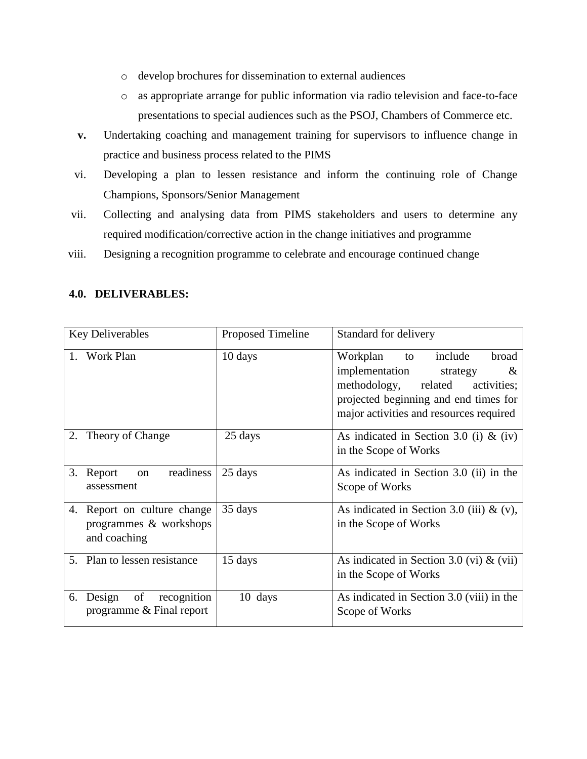- o develop brochures for dissemination to external audiences
- o as appropriate arrange for public information via radio television and face-to-face presentations to special audiences such as the PSOJ, Chambers of Commerce etc.
- **v.** Undertaking coaching and management training for supervisors to influence change in practice and business process related to the PIMS
- vi. Developing a plan to lessen resistance and inform the continuing role of Change Champions, Sponsors/Senior Management
- vii. Collecting and analysing data from PIMS stakeholders and users to determine any required modification/corrective action in the change initiatives and programme
- viii. Designing a recognition programme to celebrate and encourage continued change

#### **4.0. DELIVERABLES:**

| <b>Key Deliverables</b>                                                  | Proposed Timeline | Standard for delivery                                                                                                                                                                                  |  |
|--------------------------------------------------------------------------|-------------------|--------------------------------------------------------------------------------------------------------------------------------------------------------------------------------------------------------|--|
| 1. Work Plan                                                             | 10 days           | include<br>broad<br>Workplan<br>to<br>implementation<br>$\&$<br>strategy<br>related<br>methodology,<br>activities;<br>projected beginning and end times for<br>major activities and resources required |  |
| Theory of Change<br>2.                                                   | 25 days           | As indicated in Section 3.0 (i) & (iv)<br>in the Scope of Works                                                                                                                                        |  |
| 3.<br>readiness<br>Report<br>on<br>assessment                            | 25 days           | As indicated in Section 3.0 (ii) in the<br>Scope of Works                                                                                                                                              |  |
| Report on culture change<br>4.<br>programmes & workshops<br>and coaching | 35 days           | As indicated in Section 3.0 (iii) $\&$ (v),<br>in the Scope of Works                                                                                                                                   |  |
| 5. Plan to lessen resistance                                             | 15 days           | As indicated in Section 3.0 (vi) $\&$ (vii)<br>in the Scope of Works                                                                                                                                   |  |
| Design<br>of<br>recognition<br>6.<br>programme $&$ Final report          | 10 days           | As indicated in Section 3.0 (viii) in the<br>Scope of Works                                                                                                                                            |  |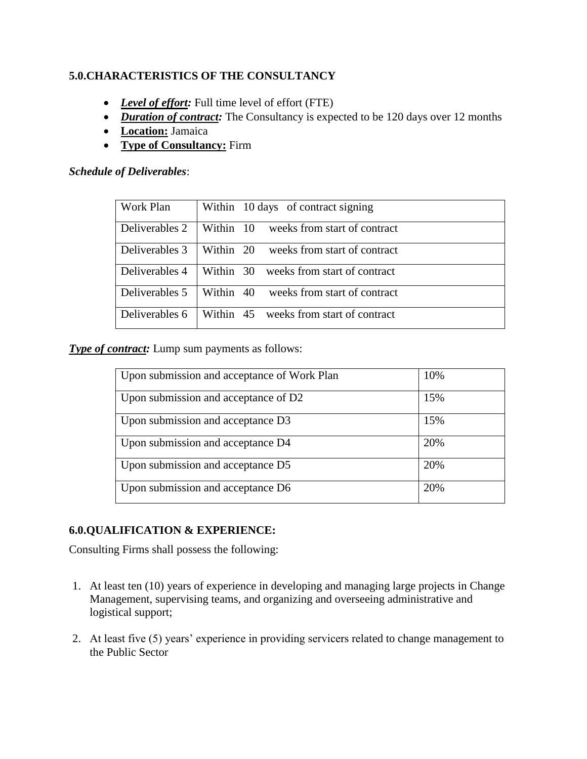### **5.0.CHARACTERISTICS OF THE CONSULTANCY**

- *Level of effort:* Full time level of effort (FTE)
- *Duration of contract:* The Consultancy is expected to be 120 days over 12 months
- **Location:** Jamaica
- **Type of Consultancy:** Firm

#### *Schedule of Deliverables*:

| Work Plan      | Within 10 days of contract signing        |  |  |
|----------------|-------------------------------------------|--|--|
| Deliverables 2 | Within 10<br>weeks from start of contract |  |  |
| Deliverables 3 | weeks from start of contract<br>Within 20 |  |  |
| Deliverables 4 | Within 30<br>weeks from start of contract |  |  |
| Deliverables 5 | Within 40<br>weeks from start of contract |  |  |
| Deliverables 6 | Within 45 weeks from start of contract    |  |  |

**Type of contract:** Lump sum payments as follows:

| Upon submission and acceptance of Work Plan | 10% |
|---------------------------------------------|-----|
| Upon submission and acceptance of D2        | 15% |
| Upon submission and acceptance D3           | 15% |
| Upon submission and acceptance D4           | 20% |
| Upon submission and acceptance D5           | 20% |
| Upon submission and acceptance D6           | 20% |

#### **6.0.QUALIFICATION & EXPERIENCE:**

Consulting Firms shall possess the following:

- 1. At least ten (10) years of experience in developing and managing large projects in Change Management, supervising teams, and organizing and overseeing administrative and logistical support;
- 2. At least five (5) years' experience in providing servicers related to change management to the Public Sector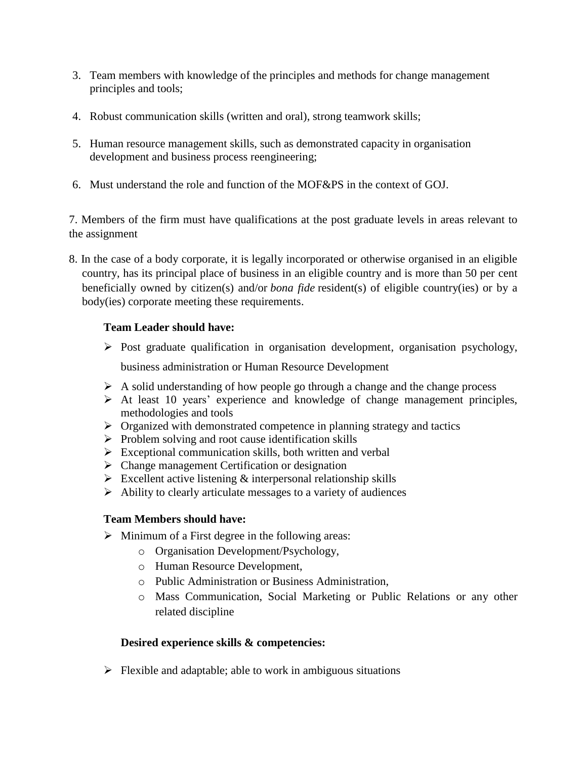- 3. Team members with knowledge of the principles and methods for change management principles and tools;
- 4. Robust communication skills (written and oral), strong teamwork skills;
- 5. Human resource management skills, such as demonstrated capacity in organisation development and business process reengineering;
- 6. Must understand the role and function of the MOF&PS in the context of GOJ.

7. Members of the firm must have qualifications at the post graduate levels in areas relevant to the assignment

8. In the case of a body corporate, it is legally incorporated or otherwise organised in an eligible country, has its principal place of business in an eligible country and is more than 50 per cent beneficially owned by citizen(s) and/or *bona fide* resident(s) of eligible country(ies) or by a body(ies) corporate meeting these requirements.

### **Team Leader should have:**

- $\triangleright$  Post graduate qualification in organisation development, organisation psychology, business administration or Human Resource Development
- $\triangleright$  A solid understanding of how people go through a change and the change process
- $\triangleright$  At least 10 years' experience and knowledge of change management principles, methodologies and tools
- $\triangleright$  Organized with demonstrated competence in planning strategy and tactics
- $\triangleright$  Problem solving and root cause identification skills
- $\triangleright$  Exceptional communication skills, both written and verbal
- $\triangleright$  Change management Certification or designation
- $\triangleright$  Excellent active listening  $\&$  interpersonal relationship skills
- $\triangleright$  Ability to clearly articulate messages to a variety of audiences

# **Team Members should have:**

- $\triangleright$  Minimum of a First degree in the following areas:
	- o Organisation Development/Psychology,
	- o Human Resource Development,
	- o Public Administration or Business Administration,
	- o Mass Communication, Social Marketing or Public Relations or any other related discipline

# **Desired experience skills & competencies:**

 $\triangleright$  Flexible and adaptable; able to work in ambiguous situations